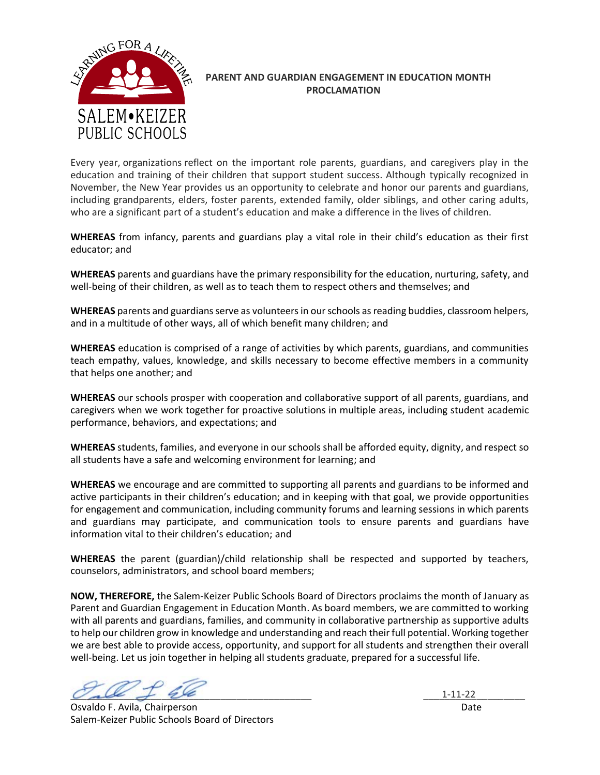

# **PARENT AND GUARDIAN ENGAGEMENT IN EDUCATION MONTH PROCLAMATION**

Every year, organizations reflect on the important role parents, guardians, and caregivers play in the education and training of their children that support student success. Although typically recognized in November, the New Year provides us an opportunity to celebrate and honor our parents and guardians, including grandparents, elders, foster parents, extended family, older siblings, and other caring adults, who are a significant part of a student's education and make a difference in the lives of children.

**WHEREAS** from infancy, parents and guardians play a vital role in their child's education as their first educator; and

**WHEREAS** parents and guardians have the primary responsibility for the education, nurturing, safety, and well-being of their children, as well as to teach them to respect others and themselves; and

**WHEREAS** parents and guardians serve as volunteers in our schools as reading buddies, classroom helpers, and in a multitude of other ways, all of which benefit many children; and

**WHEREAS** education is comprised of a range of activities by which parents, guardians, and communities teach empathy, values, knowledge, and skills necessary to become effective members in a community that helps one another; and

**WHEREAS** our schools prosper with cooperation and collaborative support of all parents, guardians, and caregivers when we work together for proactive solutions in multiple areas, including student academic performance, behaviors, and expectations; and

**WHEREAS** students, families, and everyone in our schools shall be afforded equity, dignity, and respect so all students have a safe and welcoming environment for learning; and

**WHEREAS** we encourage and are committed to supporting all parents and guardians to be informed and active participants in their children's education; and in keeping with that goal, we provide opportunities for engagement and communication, including community forums and learning sessions in which parents and guardians may participate, and communication tools to ensure parents and guardians have information vital to their children's education; and

**WHEREAS** the parent (guardian)/child relationship shall be respected and supported by teachers, counselors, administrators, and school board members;

**NOW, THEREFORE,** the Salem-Keizer Public Schools Board of Directors proclaims the month of January as Parent and Guardian Engagement in Education Month. As board members, we are committed to working with all parents and guardians, families, and community in collaborative partnership as supportive adults to help our children grow in knowledge and understanding and reach their full potential. Working together we are best able to provide access, opportunity, and support for all students and strengthen their overall well-being. Let us join together in helping all students graduate, prepared for a successful life.

 $\mathcal{O}_{\mathcal{A}}$  be  $\mathcal{A} = \{$ 

Osvaldo F. Avila, Chairperson Date Salem-Keizer Public Schools Board of Directors

 $1 - 11 - 22$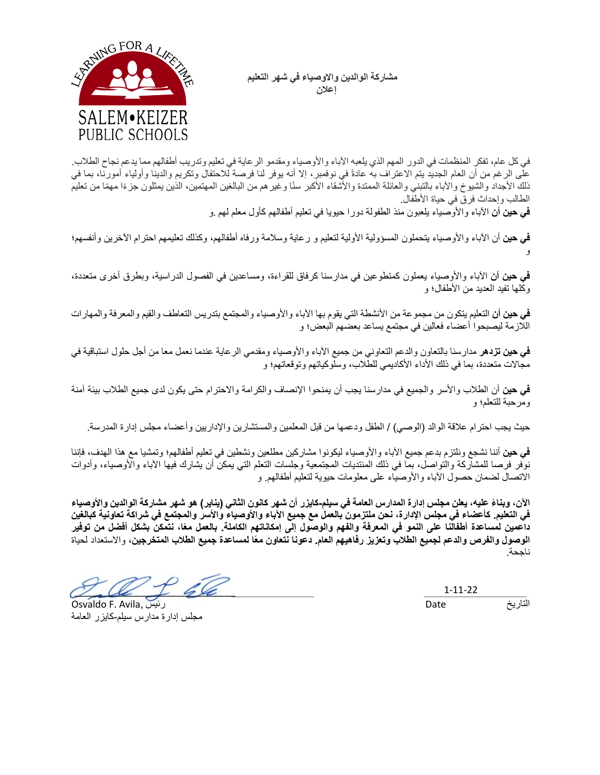مشاركة الوالدين والاوصياء ف*ي* شهر التعليم  **إ نلاع**



في كل عام، تفكر المنظمات في الدور المهم الذي يلعبه الأباء والأوصياء ومقدمو الرعاية في تعليم وتدريب أطفالهم مما يدعم نجاح الطلاب. على الرغم من أن العام الجديد يتم الاعتراف به عادةً في نوفمبر ، إلا أنه يوفر لنا فرصة للاحتفال وتكريم والدينا وأولياء أمورنا، بما في ذلك الأجداد والشيوخ والآباء بالتبني والعائلة الممتدة والأشقاء الأكبر سنًا وغيرهم من البالغين المهتمين، الذين يمثلون جزءًا مهمًا من تعليم الطالب وإحداث فرق في حياة الأطفال.

**في حين أن** الأباء والأوصياء يلعبون منذ الطفولة دورا حيويا في تعليم أطفالهم كأول معلم لهم .و

**في حين** أن الأباء والأوصياء يتحملون المسؤولية الأولية لتعليم و رعاية وسلامة ورفاه أطفالهم، وكذلك تعليمهم احترام الأخرين وأنفسهم؛ و

**فمي حين أن ا**لأباء والأوصياء يعملون كمنطوعين في مدارسنا كرفاق للقراءة، ومساعدين في الفصول الدراسية، وبطرق أخرى متعددة، وكلها تفيد العديد من الأطفال؛ و

**في حين أن التعلي**م يتكون من مجموعة من الأنشطة التي يقوم بها الآباء والأوصياء والمجتمع بتدريس التعاطف والقيم والمعرفة والمهارات اللازمة ليصبحوا أعضاء فعالين في مجتمع يساعد بعضهم البعض؛ و

**فمي حين نزده**ر مدارسنا بالنعاون والدعم النعاوني من جميع الأباء والأوصياء ومقدمي الرعاية عندما نعمل معا من أجل حلول استباقية في مجالات متعددة، بما في ذلك الأداء الأكاديمي للطلاب، وسلوكياتهم وتوقعاتهم؛ و

**في حين** أن الطلاب والأسر والجميع في مدارسنا يجب أن يمنحوا الإنصاف والكرامة والاحترام حتى يكون لدى جميع الطلاب بيئة آمنة ومر حبة للتعلم؛ و

حيث يجب احترام علاقة الوالد (الوصي) / الطفل ودعمها من قبل المعلمين والمستشارين والإداريين وأعضاء مجلس إدارة المدرسة

في حين أننا نشجع ونلتزم بدعم جميع الأباء والأوصياء ليكونوا مشاركين مطلعين ونشطين في تعليم أطفالهم؛ وتمشيا مع هذا الهدف، فإننا نوفر فرصا للمشاركة والتواصل، بما في ذلك المنتديات المجتمعية وجلسات التعلم التي يمكن أن يشارك فيها الأباء والأوصياء، وأدوات الاتصال لضمان حصول الأباء والأوصياء على معلومات حيوية لتعليم أطفالهم و

الآن، وبناءً عليه، يعلن مجلس إدارة المدارس العامة في سيلم-كايزر أن شهر كانون الثاني (يناير ) هو شهر مشاركة الوالدين والأوصياء في التعليم. كأعضاء في مجلس الإدارة، نحن ملتزمون بالع*مل مع جميع الآباء والأو*صياء والأسر والمجتمع في شراكة تعاونية كبالغين داعمين لمساعدة أطفالنا على النمو في المعرفة والفهم والوصول إلى إمكاناتهم الكاملة. بالعمل معًا، نتمكن بشكل أفضل من توفير الوصول والفرص والدعم لجميع الطلاب وتعزيز رفاهيهم العام. دعونا نتعاون معًا لمساعدة جميع الطلاب المتخرجين، والاستعداد لحياة ناححة

 $\mathcal{O}'$  that  $\mathcal{O}'$  the state of  $\mathcal{O}'$  and  $\mathcal{O}'$  and  $\mathcal{O}'$  and  $\mathcal{O}'$  and  $\mathcal{O}'$  and  $\mathcal{O}'$  and  $\mathcal{O}'$  and  $\mathcal{O}'$  and  $\mathcal{O}'$  and  $\mathcal{O}'$  and  $\mathcal{O}'$  and  $\mathcal{O}'$  and  $\mathcal{O}'$  and  $\mathcal{O}'$  and  $\math$  $\mathcal{V}$ 

Osvaldo F. Avila, یس ئر مجلس إدارة مدارس سيلم-كايزر العامة

التاريخ Date 1-11-22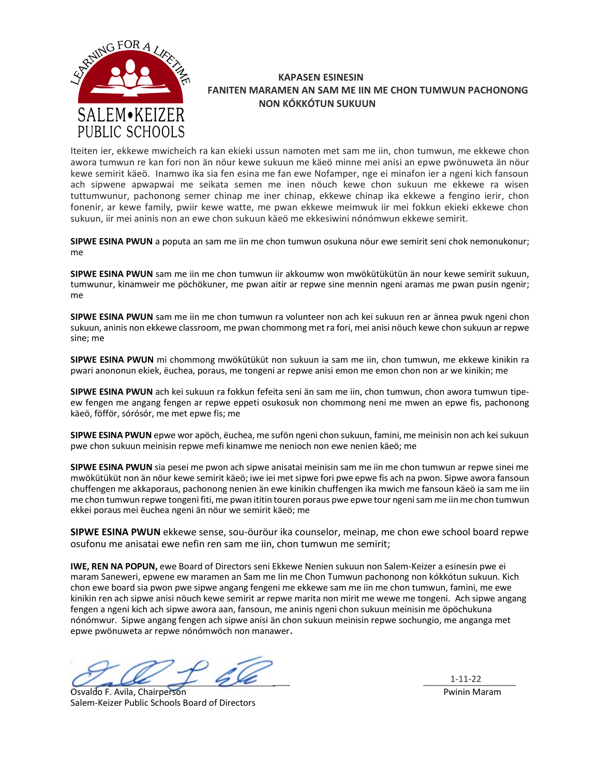

### **KAPASEN ESINESIN FANITEN MARAMEN AN SAM ME IIN ME CHON TUMWUN PACHONONG NON KÓKKÓTUN SUKUUN**

Iteiten ier, ekkewe mwicheich ra kan ekieki ussun namoten met sam me iin, chon tumwun, me ekkewe chon awora tumwun re kan fori non ӓn nöur kewe sukuun me kӓeö minne mei anisi an epwe pwönuweta ӓn nöur kewe semirit kӓeö. Inamwo ika sia fen esina me fan ewe Nofamper, nge ei minafon ier a ngeni kich fansoun ach sipwene apwapwai me seikata semen me inen nöuch kewe chon sukuun me ekkewe ra wisen tuttumwunur, pachonong semer chinap me iner chinap, ekkewe chinap ika ekkewe a fengino ierir, chon fonenir, ar kewe family, pwiir kewe watte, me pwan ekkewe meimwuk iir mei fokkun ekieki ekkewe chon sukuun, iir mei aninis non an ewe chon sukuun kӓeö me ekkesiwini nónómwun ekkewe semirit.

**SIPWE ESINA PWUN** a poputa an sam me iin me chon tumwun osukuna nöur ewe semirit seni chok nemonukonur; me

**SIPWE ESINA PWUN** sam me iin me chon tumwun iir akkoumw won mwökütükütün ӓn nour kewe semirit sukuun, tumwunur, kinamweir me pöchökuner, me pwan aitir ar repwe sine mennin ngeni aramas me pwan pusin ngenir; me

**SIPWE ESINA PWUN** sam me iin me chon tumwun ra volunteer non ach kei sukuun ren ar ӓnnea pwuk ngeni chon sukuun, aninis non ekkewe classroom, me pwan chommong met ra fori, mei anisi nöuch kewe chon sukuun ar repwe sine; me

**SIPWE ESINA PWUN** mi chommong mwökütüküt non sukuun ia sam me iin, chon tumwun, me ekkewe kinikin ra pwari anononun ekiek, ëuchea, poraus, me tongeni ar repwe anisi emon me emon chon non ar we kinikin; me

SIPWE ESINA PWUN ach kei sukuun ra fokkun fefeita seni än sam me iin, chon tumwun, chon awora tumwun tipeew fengen me angang fengen ar repwe eppeti osukosuk non chommong neni me mwen an epwe fis, pachonong kӓeö, föfför, sórósór, me met epwe fis; me

**SIPWE ESINA PWUN** epwe wor apöch, ëuchea, me sufön ngeni chon sukuun, famini, me meinisin non ach kei sukuun pwe chon sukuun meinisin repwe mefi kinamwe me nenioch non ewe nenien kӓeö; me

**SIPWE ESINA PWUN** sia pesei me pwon ach sipwe anisatai meinisin sam me iin me chon tumwun ar repwe sinei me mwökütüküt non ӓn nöur kewe semirit kӓeö; iwe iei metsipwe fori pwe epwe fis ach na pwon. Sipwe awora fansoun chuffengen me akkaporaus, pachonong nenien ӓn ewe kinikin chuffengen ika mwich me fansoun kӓeö ia sam me iin me chon tumwun repwe tongeni fiti, me pwan ititin touren poraus pwe epwe tour ngeni sam me iin me chon tumwun ekkei poraus mei ëuchea ngeni ӓn nöur we semirit kӓeö; me

**SIPWE ESINA PWUN** ekkewe sense, sou-öuröur ika counselor, meinap, me chon ewe school board repwe osufonu me anisatai ewe nefin ren sam me iin, chon tumwun me semirit;

**IWE, REN NA POPUN,** ewe Board of Directors seni Ekkewe Nenien sukuun non Salem-Keizer a esinesin pwe ei maram Saneweri, epwene ew maramen an Sam me Iin me Chon Tumwun pachonong non kókkótun sukuun. Kich chon ewe board sia pwon pwe sipwe angang fengeni me ekkewe sam me iin me chon tumwun, famini, me ewe kinikin ren ach sipwe anisi nöuch kewe semirit ar repwe marita non mirit me wewe me tongeni. Ach sipwe angang fengen a ngeni kich ach sipwe awora aan, fansoun, me aninis ngeni chon sukuun meinisin me öpöchukuna nónómwur. Sipwe angang fengen ach sipwe anisi ӓn chon sukuun meinisin repwe sochungio, me anganga met epwe pwönuweta ar repwe nónómwöch non manawer.

 $\vee$  all  $\neq$  22  $\qquad$   $\qquad$   $\qquad$   $\qquad$   $\qquad$   $\qquad$   $\qquad$   $\qquad$   $\qquad$   $\qquad$   $\qquad$   $\qquad$   $\qquad$   $\qquad$   $\qquad$   $\qquad$   $\qquad$   $\qquad$   $\qquad$   $\qquad$   $\qquad$   $\qquad$   $\qquad$   $\qquad$   $\qquad$   $\qquad$   $\qquad$   $\qquad$   $\qquad$   $\qquad$   $\qquad$   $\qquad$   $\qquad$   $\qquad$  $\omega_{\rm{a}}\omega_{\rm{c}}$  + 600  $-$  1-11-22

Osvaldo F. Avila, Chairperson Pwinin Maram Salem-Keizer Public Schools Board of Directors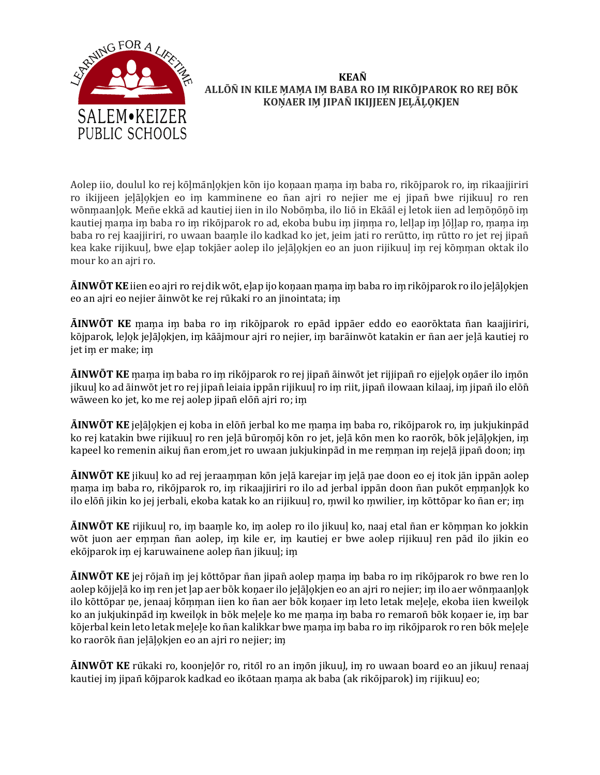

# **KEAN� ALLŌN�IN KILE M̗AM̗A IM̗ BABA RO IM̗ RIKŌJPAROK RO REJ BŌK KON̗AER IM̗ JIPAN�IKIJJEEN JEL̗ĀL̗O̗KJEN**

Aolep iio, doulul ko rej kōlmānlokjen kōn ijo konaan mama im baba ro, rikōjparok ro, im rikaajjiriri ro ikijjeen jelālokjen eo im kamminene eo ñan ajri ro nejier me ej jipañ bwe rijikuul ro ren wōnmaanļok. Menē ekkā ad kautiej iien in ilo Nobōmba, ilo Iiō in Ekāāl ej letok iien ad lemōņōņō im kautiej mama im baba ro im rikōjparok ro ad, ekoba bubu im jimma ro, lellap im lōllap ro, mama im baba ro rej kaajjiriri, ro uwaan baamle ilo kadkad ko jet, jeim jati ro rerūtto, im rūtto ro jet rej jipañ kea kake rijikuul, bwe elap tokjāer aolep ilo jelālokjen eo an juon rijikuul im rej kōmman oktak ilo mour ko an ajri ro.

**ĀINWŌT KE** iien eo ajri ro rej dik wōt, elap ijo koņaan mama im baba ro im rikōjparok ro ilo jeļāļokjen eo an ajri eo nejier āinwōt ke rej rūkaki ro an jinointata; im̗

**ĀINWŌT KE** m̗am̗a im̗ baba ro im̗ rikōjparok ro epād ippāer eddo eo eaorōktata n̄an kaajjiriri, kōjparok, leļo̯k jeļāļo̯kjen, im̯ kāājmour ajri ro nejier, im̯ barāinwōt katakin er ñan aer jelā kautiej ro jet im er make; im

**ĀINWŌT KE** m̗am̗a im̗ baba ro im̗ rikōjparok ro rej jipan̄āinwōt jet rijjipan̄ro ejjel̗o̗k on̗āer ilo im̗ōn jikuul ko ad āinwōt jet ro rej jipañ leiaia ippān rijikuul ro im riit, jipañ ilowaan kilaaj, im jipañ ilo elōñ wāween ko jet, ko me rej aolep jipan̄elōn̄ajri ro; im̗

**ĀINWŌT KE** jeļāļokjen ej koba in elōñ jerbal ko me mama im baba ro, rikōjparok ro, im jukjukinpād ko rej katakin bwe rijikuul ro ren jelā būromōj kōn ro jet, jelā kōn men ko raorōk, bōk jelālokjen, im kapeel ko remenin aikuj ñan erom jet ro uwaan jukjukinpād in me remman im rejelā jipan doon; im

**ĀINWŌT KE** jikuul ko ad rej jeraamman kōn jelā karejar im jelā nae doon eo ej itok jān ippān aolep mama im baba ro, rikōjparok ro, im rikaajjiriri ro ilo ad jerbal ippān doon nān pukōt emmanļok ko ilo elōñ jikin ko jej jerbali, ekoba katak ko an rijikuul ro, mwil ko mwilier, im kōttōpar ko ñan er; im

**ĀINWŌT KE** rijikuul ro, im baamle ko, im aolep ro ilo jikuul ko, naaj etal ñan er kōmman ko jokkin wōt juon aer emman ñan aolep, im kile er, im kautiej er bwe aolep rijikuul ren pād ilo jikin eo ekōjparok im ej karuwainene aolep ñan jikuul; im

**ĀINWŌT KE** jej rōjan̄ im̗ jej kōttōpar n̄an jipan̄aolep m̗am̗a im̗ baba ro im̗ rikōjparok ro bwe ren lo aolep kōjjeļā ko im ren jet lap aer bōk konaer ilo jeļālo̯kjen eo an ajri ro nejier; im ilo aer wōnmaanlo̯k ilo kōttōpar ne, jenaaj kōmman iien ko n̄an aer bōk konaer im leto letak meļeļe, ekoba iien kweilo̯k ko an jukjukinpād im kweilok in bōk melele ko me mama im baba ro remaroñ bōk konaer ie, im bar kōjerbal kein leto letak melele ko ñan kalikkar bwe mama im baba ro im rikōjparok ro ren bōk melele ko raorōk ñan jeļāļokjen eo an ajri ro nejier; im

**AINWOT KE** rūkaki ro, koonjeļōr ro, ritōl ro an imōn jikuuļ, im ro uwaan board eo an jikuuļ renaaj kautiej im jipañ kōjparok kadkad eo ikōtaan mama ak baba (ak rikōjparok) im rijikuul eo;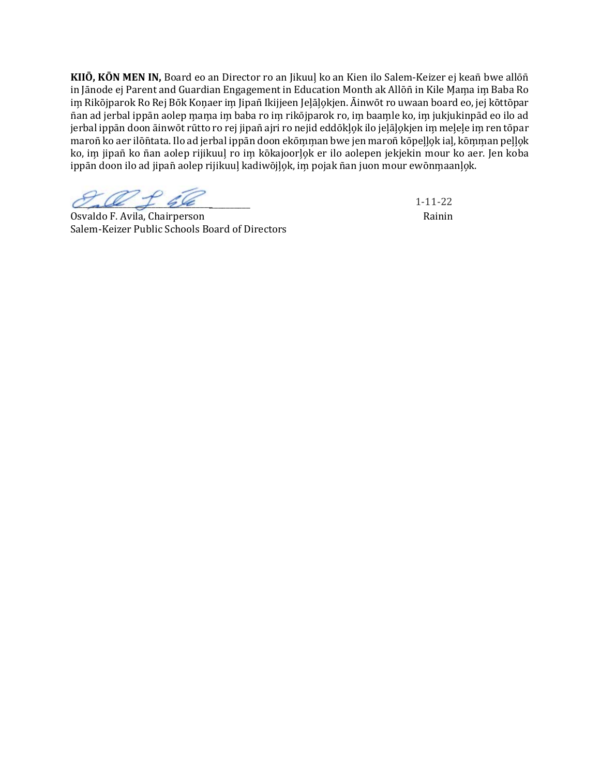**KIIŌ, KŌN MEN IN,** Board eo an Director ro an Jikuul̗ko an Kien ilo Salem-Keizer ej kean̄bwe allōn̄ in Jānode ej Parent and Guardian Engagement in Education Month ak Allōn̄ in Kile Mama im Baba Ro im Rikōjparok Ro Rej Bōk Konaer im Jipañ Ikijjeen Jelālokjen. Āinwōt ro uwaan board eo, jej kōttōpar ñan ad jerbal ippān aolep mama im baba ro im rikōjparok ro, im baamle ko, im jukjukinpād eo ilo ad jerbal ippān doon āinwōt rūtto ro rej jipañ ajri ro nejid eddōkļok ilo jeļāļokjen im meļeļe im ren tōpar maroñ ko aer ilōñtata. Ilo ad jerbal ippān doon ekōmman bwe jen maroñ kōpelḷọk ial, kōmman peḷḷọk ko, im jipañ ko ñan aolep rijikuul ro im kōkajoorlok er ilo aolepen jekjekin mour ko aer. Jen koba ippān doon ilo ad jipañ aolep rijikuuļ kadiwōjļọk, im pojak nān juon mour ewōnmaanļọk.

 $\mathcal{C}$ 

Osvaldo F. Avila, Chairperson Rainin Rainin Rainin Rainin Rainin Rainin Rainin Rainin Rainin Rainin Rainin Rainin Salem-Keizer Public Schools Board of Directors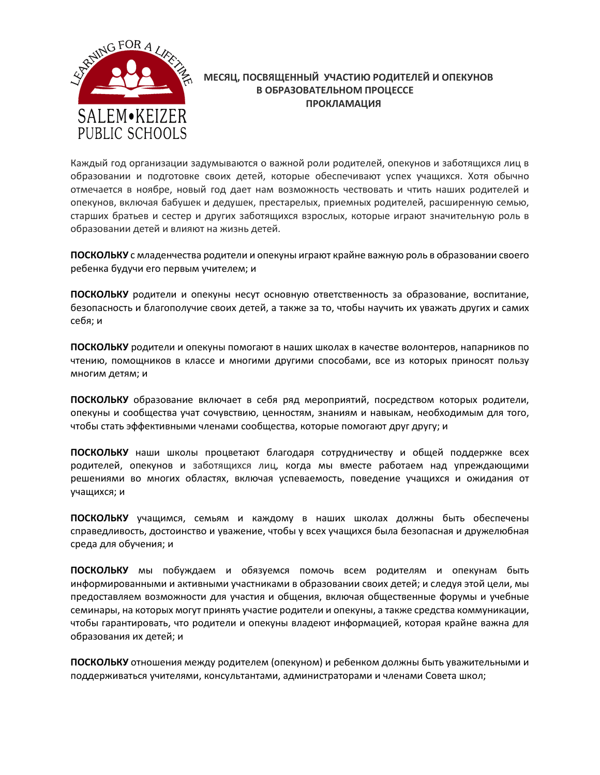

# МЕСЯЦ. ПОСВЯШЕННЫЙ УЧАСТИЮ РОДИТЕЛЕЙ И ОПЕКУНОВ В ОБРАЗОВАТЕЛЬНОМ ПРОЦЕССЕ **ПРОКЛАМАЦИЯ**

Каждый год организации задумываются о важной роли родителей, опекунов и заботящихся лиц в образовании и подготовке своих детей, которые обеспечивают успех учащихся. Хотя обычно отмечается в ноябре, новый год дает нам возможность чествовать и чтить наших родителей и опекунов, включая бабушек и дедушек, престарелых, приемных родителей, расширенную семью, старших братьев и сестер и других заботящихся взрослых, которые играют значительную роль в образовании детей и влияют на жизнь детей.

ПОСКОЛЬКУ с младенчества родители и опекуны играют крайне важную роль в образовании своего ребенка будучи его первым учителем; и

ПОСКОЛЬКУ родители и опекуны несут основную ответственность за образование, воспитание, безопасность и благополучие своих детей, а также за то, чтобы научить их уважать других и самих себя: и

ПОСКОЛЬКУ родители и опекуны помогают в наших школах в качестве волонтеров, напарников по чтению, помощников в классе и многими другими способами, все из которых приносят пользу многим детям; и

ПОСКОЛЬКУ образование включает в себя ряд мероприятий, посредством которых родители, опекуны и сообщества учат сочувствию, ценностям, знаниям и навыкам, необходимым для того, чтобы стать эффективными членами сообщества, которые помогают друг другу; и

ПОСКОЛЬКУ наши школы процветают благодаря сотрудничеству и общей поддержке всех родителей, опекунов и заботящихся лиц, когда мы вместе работаем над упреждающими решениями во многих областях, включая успеваемость, поведение учащихся и ожидания от учащихся; и

ПОСКОЛЬКУ учащимся, семьям и каждому в наших школах должны быть обеспечены справедливость, достоинство и уважение, чтобы у всех учащихся была безопасная и дружелюбная среда для обучения; и

ПОСКОЛЬКУ мы побуждаем и обязуемся помочь всем родителям и опекунам быть информированными и активными участниками в образовании своих детей; и следуя этой цели, мы предоставляем возможности для участия и общения, включая общественные форумы и учебные семинары, на которых могут принять участие родители и опекуны, а также средства коммуникации, чтобы гарантировать, что родители и опекуны владеют информацией, которая крайне важна для образования их детей; и

ПОСКОЛЬКУ отношения между родителем (опекуном) и ребенком должны быть уважительными и поддерживаться учителями, консультантами, администраторами и членами Совета школ;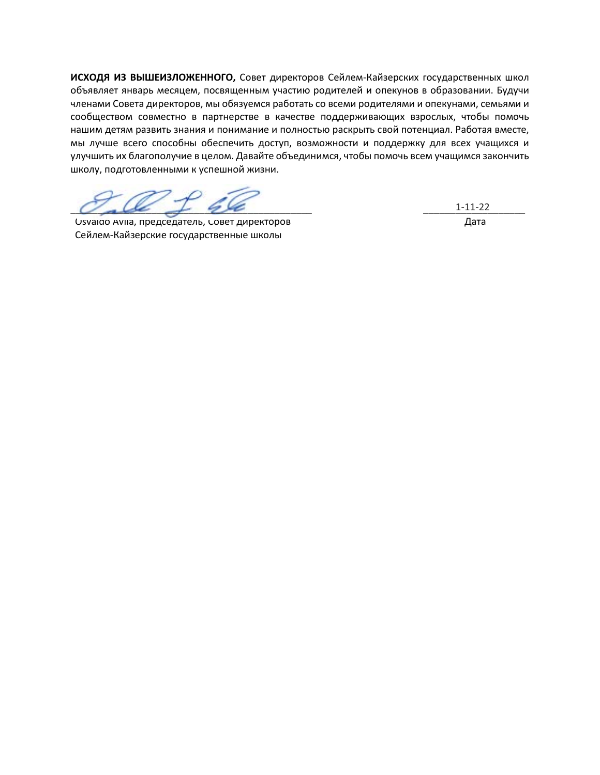ИСХОДЯ ИЗ ВЫШЕИЗЛОЖЕННОГО, Совет директоров Сейлем-Кайзерских государственных школ объявляет январь месяцем, посвященным участию родителей и опекунов в образовании. Будучи членами Совета директоров, мы обязуемся работать со всеми родителями и опекунами, семьями и сообществом совместно в партнерстве в качестве поддерживающих взрослых, чтобы помочь нашим детям развить знания и понимание и полностью раскрыть свой потенциал. Работая вместе, мы лучше всего способны обеспечить доступ, возможности и поддержку для всех учащихся и улучшить их благополучие в целом. Давайте объединимся, чтобы помочь всем учащимся закончить школу, подготовленными к успешной жизни.

Usvaldo Avila, председатель, Совет директоров Сейлем-Кайзерские государственные школы

 $1 - 11 - 22$ Дата